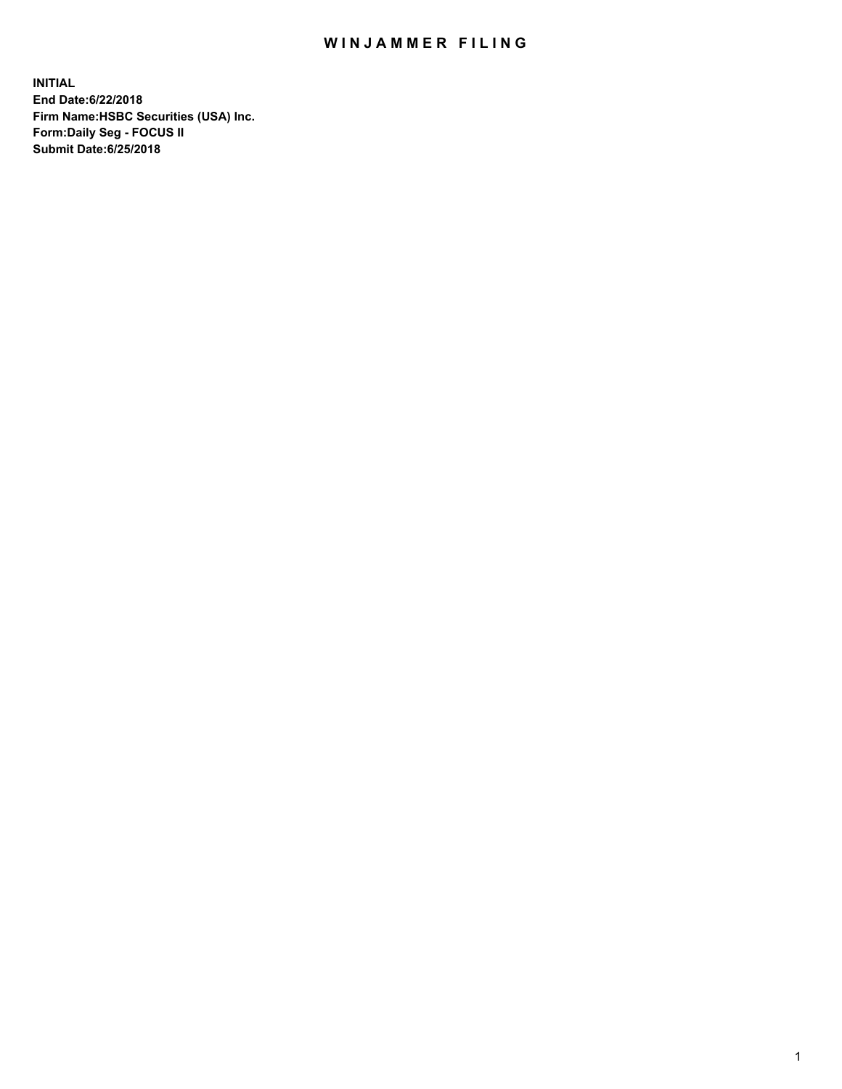## WIN JAMMER FILING

**INITIAL End Date:6/22/2018 Firm Name:HSBC Securities (USA) Inc. Form:Daily Seg - FOCUS II Submit Date:6/25/2018**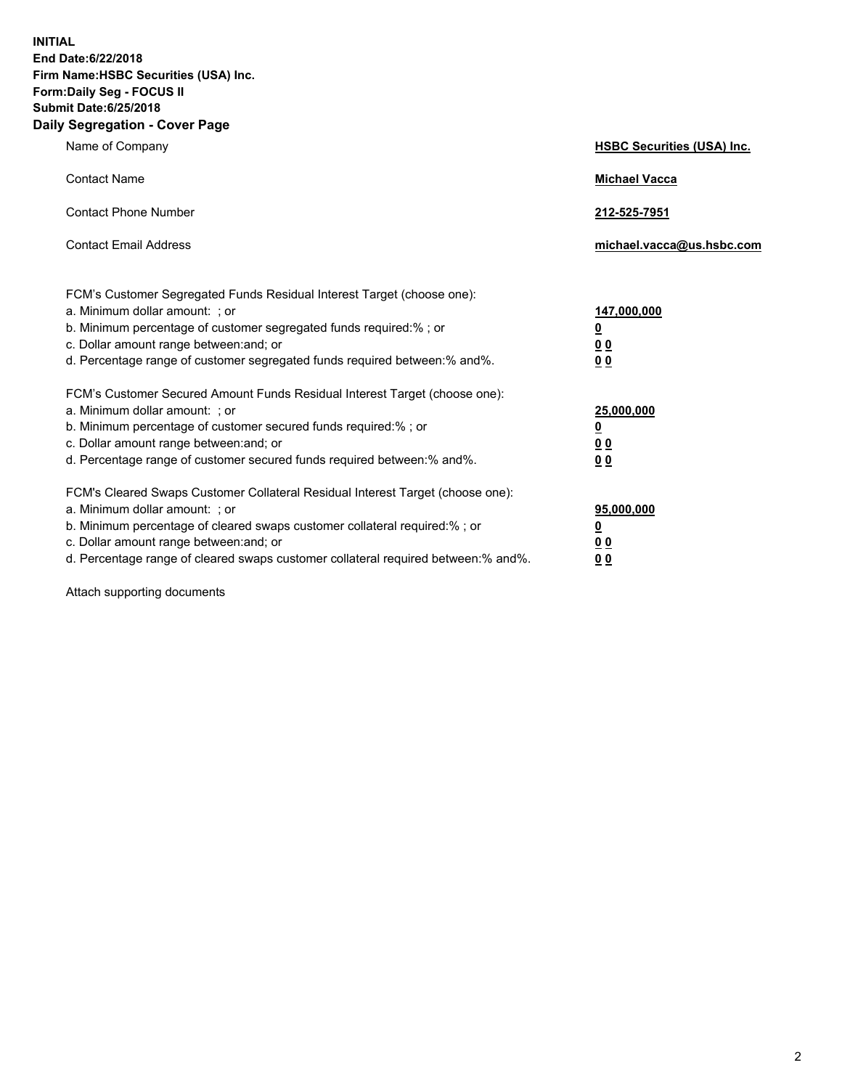**INITIAL End Date:6/22/2018 Firm Name:HSBC Securities (USA) Inc. Form:Daily Seg - FOCUS II Submit Date:6/25/2018 Daily Segregation - Cover Page**

| Name of Company                                                                                                                                                                                                                                                                                                                | <b>HSBC Securities (USA) Inc.</b>                                          |
|--------------------------------------------------------------------------------------------------------------------------------------------------------------------------------------------------------------------------------------------------------------------------------------------------------------------------------|----------------------------------------------------------------------------|
| <b>Contact Name</b>                                                                                                                                                                                                                                                                                                            | <b>Michael Vacca</b>                                                       |
| <b>Contact Phone Number</b>                                                                                                                                                                                                                                                                                                    | 212-525-7951                                                               |
| <b>Contact Email Address</b>                                                                                                                                                                                                                                                                                                   | michael.vacca@us.hsbc.com                                                  |
| FCM's Customer Segregated Funds Residual Interest Target (choose one):<br>a. Minimum dollar amount: : or<br>b. Minimum percentage of customer segregated funds required:% ; or<br>c. Dollar amount range between: and; or<br>d. Percentage range of customer segregated funds required between:% and%.                         | 147,000,000<br>$\overline{\mathbf{0}}$<br>0 <sub>0</sub><br>0 <sub>0</sub> |
| FCM's Customer Secured Amount Funds Residual Interest Target (choose one):<br>a. Minimum dollar amount: ; or<br>b. Minimum percentage of customer secured funds required:%; or<br>c. Dollar amount range between: and; or<br>d. Percentage range of customer secured funds required between:% and%.                            | 25,000,000<br><u>0</u><br>0 <sub>0</sub><br>00                             |
| FCM's Cleared Swaps Customer Collateral Residual Interest Target (choose one):<br>a. Minimum dollar amount: ; or<br>b. Minimum percentage of cleared swaps customer collateral required:% ; or<br>c. Dollar amount range between: and; or<br>d. Percentage range of cleared swaps customer collateral required between:% and%. | 95,000,000<br><u>0</u><br>00<br>0 <sub>0</sub>                             |

Attach supporting documents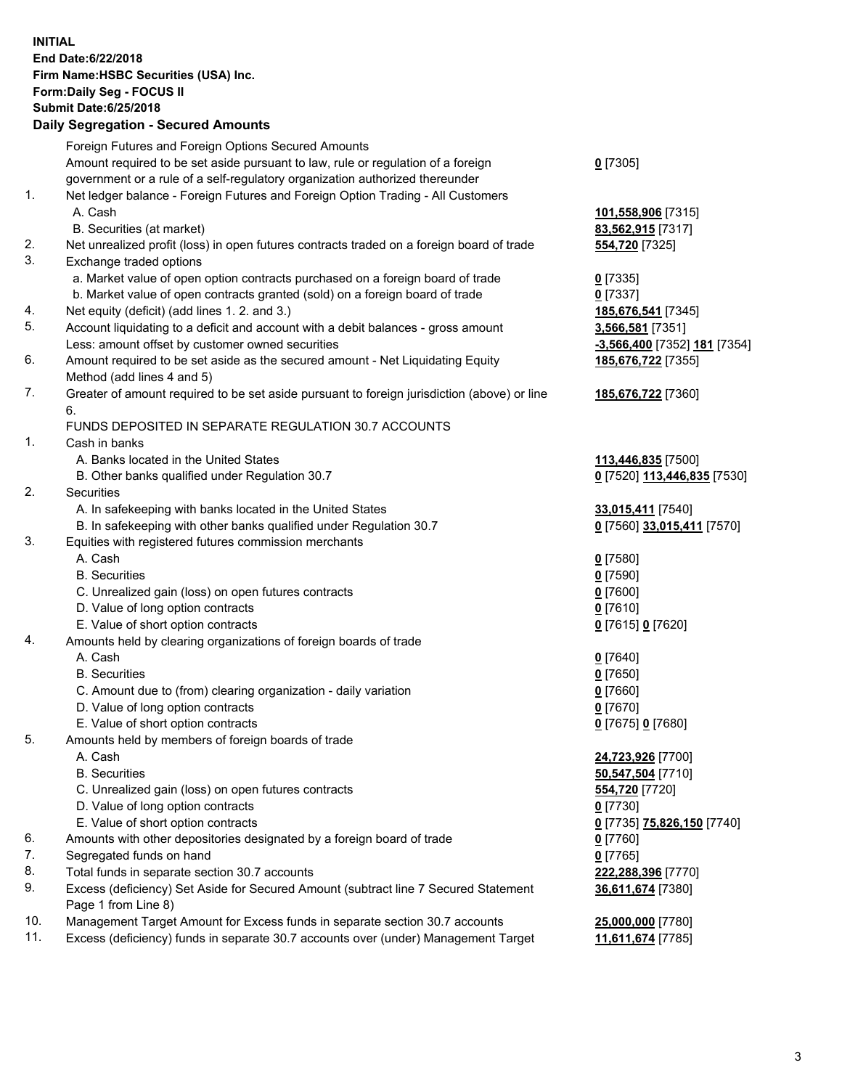**INITIAL End Date:6/22/2018 Firm Name:HSBC Securities (USA) Inc. Form:Daily Seg - FOCUS II Submit Date:6/25/2018 Daily Segregation - Secured Amounts**

Foreign Futures and Foreign Options Secured Amounts Amount required to be set aside pursuant to law, rule or regulation of a foreign government or a rule of a self-regulatory organization authorized thereunder **0** [7305] 1. Net ledger balance - Foreign Futures and Foreign Option Trading - All Customers A. Cash **101,558,906** [7315] B. Securities (at market) **83,562,915** [7317] 2. Net unrealized profit (loss) in open futures contracts traded on a foreign board of trade **554,720** [7325] 3. Exchange traded options a. Market value of open option contracts purchased on a foreign board of trade **0** [7335] b. Market value of open contracts granted (sold) on a foreign board of trade **0** [7337] 4. Net equity (deficit) (add lines 1. 2. and 3.) **185,676,541** [7345] 5. Account liquidating to a deficit and account with a debit balances - gross amount **3,566,581** [7351] Less: amount offset by customer owned securities **-3,566,400** [7352] **181** [7354] 6. Amount required to be set aside as the secured amount - Net Liquidating Equity Method (add lines 4 and 5) **185,676,722** [7355] 7. Greater of amount required to be set aside pursuant to foreign jurisdiction (above) or line 6. **185,676,722** [7360] FUNDS DEPOSITED IN SEPARATE REGULATION 30.7 ACCOUNTS 1. Cash in banks A. Banks located in the United States **113,446,835** [7500] B. Other banks qualified under Regulation 30.7 **0** [7520] **113,446,835** [7530] 2. Securities A. In safekeeping with banks located in the United States **33,015,411** [7540] B. In safekeeping with other banks qualified under Regulation 30.7 **0** [7560] **33,015,411** [7570] 3. Equities with registered futures commission merchants A. Cash **0** [7580] B. Securities **0** [7590] C. Unrealized gain (loss) on open futures contracts **0** [7600] D. Value of long option contracts **0** [7610] E. Value of short option contracts **0** [7615] **0** [7620] 4. Amounts held by clearing organizations of foreign boards of trade A. Cash **0** [7640] B. Securities **0** [7650] C. Amount due to (from) clearing organization - daily variation **0** [7660] D. Value of long option contracts **0** [7670] E. Value of short option contracts **0** [7675] **0** [7680] 5. Amounts held by members of foreign boards of trade A. Cash **24,723,926** [7700] B. Securities **50,547,504** [7710] C. Unrealized gain (loss) on open futures contracts **554,720** [7720] D. Value of long option contracts **0** [7730] E. Value of short option contracts **0** [7735] **75,826,150** [7740] 6. Amounts with other depositories designated by a foreign board of trade **0** [7760] 7. Segregated funds on hand **0** [7765] 8. Total funds in separate section 30.7 accounts **222,288,396** [7770] 9. Excess (deficiency) Set Aside for Secured Amount (subtract line 7 Secured Statement Page 1 from Line 8) **36,611,674** [7380] 10. Management Target Amount for Excess funds in separate section 30.7 accounts **25,000,000** [7780] 11. Excess (deficiency) funds in separate 30.7 accounts over (under) Management Target **11,611,674** [7785]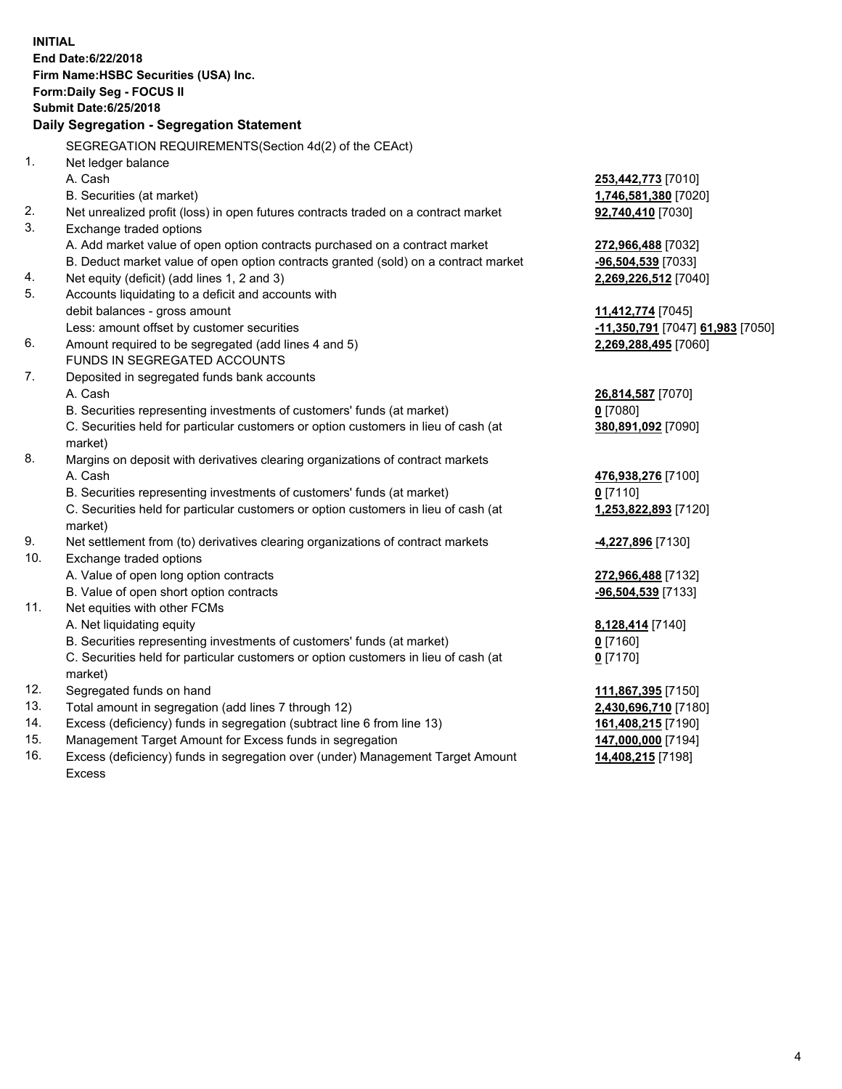**INITIAL End Date:6/22/2018 Firm Name:HSBC Securities (USA) Inc. Form:Daily Seg - FOCUS II Submit Date:6/25/2018 Daily Segregation - Segregation Statement** SEGREGATION REQUIREMENTS(Section 4d(2) of the CEAct) 1. Net ledger balance A. Cash **253,442,773** [7010] B. Securities (at market) **1,746,581,380** [7020] 2. Net unrealized profit (loss) in open futures contracts traded on a contract market **92,740,410** [7030] 3. Exchange traded options A. Add market value of open option contracts purchased on a contract market **272,966,488** [7032] B. Deduct market value of open option contracts granted (sold) on a contract market **-96,504,539** [7033] 4. Net equity (deficit) (add lines 1, 2 and 3) **2,269,226,512** [7040] 5. Accounts liquidating to a deficit and accounts with debit balances - gross amount **11,412,774** [7045] Less: amount offset by customer securities **-11,350,791** [7047] **61,983** [7050] 6. Amount required to be segregated (add lines 4 and 5) **2,269,288,495** [7060] FUNDS IN SEGREGATED ACCOUNTS 7. Deposited in segregated funds bank accounts A. Cash **26,814,587** [7070] B. Securities representing investments of customers' funds (at market) **0** [7080] C. Securities held for particular customers or option customers in lieu of cash (at market) **380,891,092** [7090] 8. Margins on deposit with derivatives clearing organizations of contract markets A. Cash **476,938,276** [7100] B. Securities representing investments of customers' funds (at market) **0** [7110] C. Securities held for particular customers or option customers in lieu of cash (at market) **1,253,822,893** [7120] 9. Net settlement from (to) derivatives clearing organizations of contract markets **-4,227,896** [7130] 10. Exchange traded options A. Value of open long option contracts **272,966,488** [7132] B. Value of open short option contracts **-96,504,539** [7133] 11. Net equities with other FCMs A. Net liquidating equity **8,128,414** [7140] B. Securities representing investments of customers' funds (at market) **0** [7160] C. Securities held for particular customers or option customers in lieu of cash (at market) **0** [7170] 12. Segregated funds on hand **111,867,395** [7150] 13. Total amount in segregation (add lines 7 through 12) **2,430,696,710** [7180] 14. Excess (deficiency) funds in segregation (subtract line 6 from line 13) **161,408,215** [7190] 15. Management Target Amount for Excess funds in segregation **147,000,000** [7194]

16. Excess (deficiency) funds in segregation over (under) Management Target Amount Excess

**14,408,215** [7198]